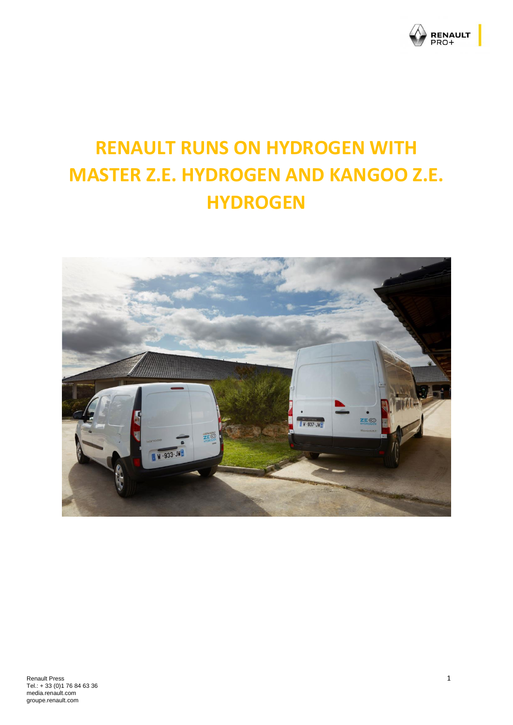

# **RENAULT RUNS ON HYDROGEN WITH MASTER Z.E. HYDROGEN AND KANGOO Z.E. HYDROGEN**

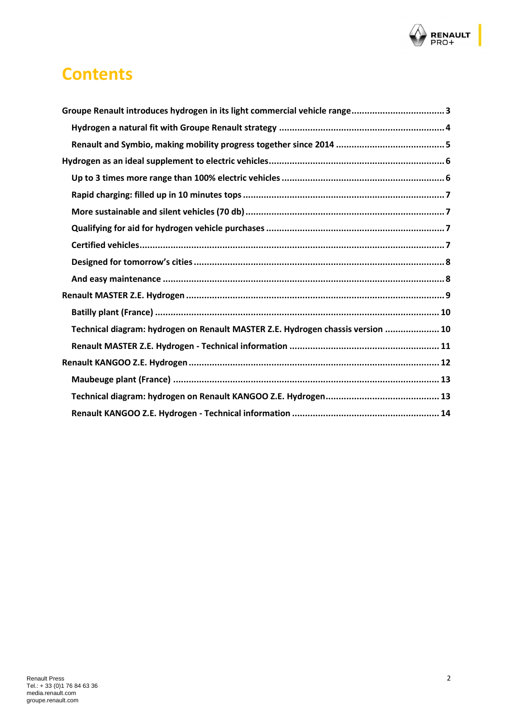

## **Contents**

| Groupe Renault introduces hydrogen in its light commercial vehicle range3       |
|---------------------------------------------------------------------------------|
|                                                                                 |
|                                                                                 |
|                                                                                 |
|                                                                                 |
|                                                                                 |
|                                                                                 |
|                                                                                 |
|                                                                                 |
|                                                                                 |
|                                                                                 |
|                                                                                 |
|                                                                                 |
| Technical diagram: hydrogen on Renault MASTER Z.E. Hydrogen chassis version  10 |
|                                                                                 |
|                                                                                 |
|                                                                                 |
|                                                                                 |
|                                                                                 |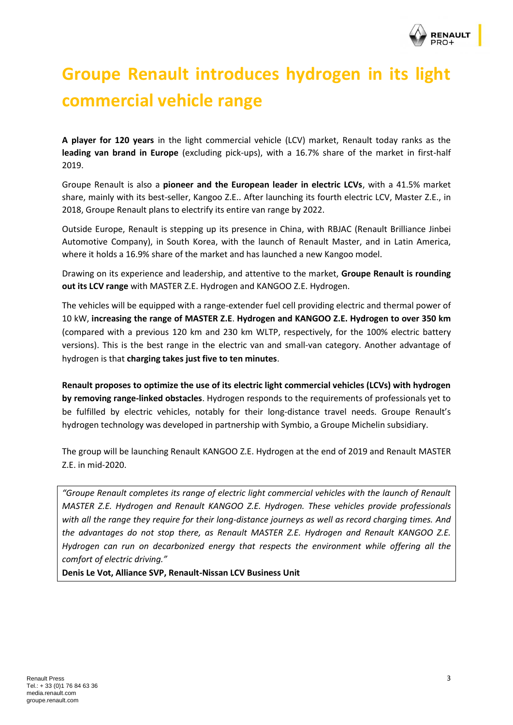

# <span id="page-2-0"></span>**Groupe Renault introduces hydrogen in its light commercial vehicle range**

**A player for 120 years** in the light commercial vehicle (LCV) market, Renault today ranks as the **leading van brand in Europe** (excluding pick-ups), with a 16.7% share of the market in first-half 2019.

Groupe Renault is also a **pioneer and the European leader in electric LCVs**, with a 41.5% market share, mainly with its best-seller, Kangoo Z.E.. After launching its fourth electric LCV, Master Z.E., in 2018, Groupe Renault plans to electrify its entire van range by 2022.

Outside Europe, Renault is stepping up its presence in China, with RBJAC (Renault Brilliance Jinbei Automotive Company), in South Korea, with the launch of Renault Master, and in Latin America, where it holds a 16.9% share of the market and has launched a new Kangoo model.

Drawing on its experience and leadership, and attentive to the market, **Groupe Renault is rounding out its LCV range** with MASTER Z.E. Hydrogen and KANGOO Z.E. Hydrogen.

The vehicles will be equipped with a range-extender fuel cell providing electric and thermal power of 10 kW, **increasing the range of MASTER Z.E**. **Hydrogen and KANGOO Z.E. Hydrogen to over 350 km** (compared with a previous 120 km and 230 km WLTP, respectively, for the 100% electric battery versions). This is the best range in the electric van and small-van category. Another advantage of hydrogen is that **charging takes just five to ten minutes**.

**Renault proposes to optimize the use of its electric light commercial vehicles (LCVs) with hydrogen by removing range-linked obstacles**. Hydrogen responds to the requirements of professionals yet to be fulfilled by electric vehicles, notably for their long-distance travel needs. Groupe Renault's hydrogen technology was developed in partnership with Symbio, a Groupe Michelin subsidiary.

The group will be launching Renault KANGOO Z.E. Hydrogen at the end of 2019 and Renault MASTER Z.E. in mid-2020.

*"Groupe Renault completes its range of electric light commercial vehicles with the launch of Renault MASTER Z.E. Hydrogen and Renault KANGOO Z.E. Hydrogen. These vehicles provide professionals with all the range they require for their long-distance journeys as well as record charging times. And the advantages do not stop there, as Renault MASTER Z.E. Hydrogen and Renault KANGOO Z.E. Hydrogen can run on decarbonized energy that respects the environment while offering all the comfort of electric driving."*

**Denis Le Vot, Alliance SVP, Renault-Nissan LCV Business Unit**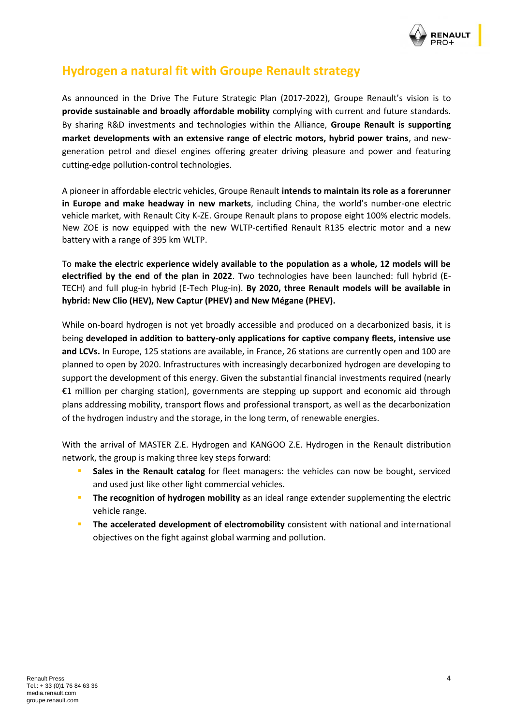

## <span id="page-3-0"></span>**Hydrogen a natural fit with Groupe Renault strategy**

As announced in the Drive The Future Strategic Plan (2017-2022), Groupe Renault's vision is to **provide sustainable and broadly affordable mobility** complying with current and future standards. By sharing R&D investments and technologies within the Alliance, **Groupe Renault is supporting market developments with an extensive range of electric motors, hybrid power trains**, and newgeneration petrol and diesel engines offering greater driving pleasure and power and featuring cutting-edge pollution-control technologies.

A pioneer in affordable electric vehicles, Groupe Renault **intends to maintain its role as a forerunner in Europe and make headway in new markets**, including China, the world's number-one electric vehicle market, with Renault City K-ZE. Groupe Renault plans to propose eight 100% electric models. New ZOE is now equipped with the new WLTP-certified Renault R135 electric motor and a new battery with a range of 395 km WLTP.

To **make the electric experience widely available to the population as a whole, 12 models will be electrified by the end of the plan in 2022**. Two technologies have been launched: full hybrid (E-TECH) and full plug-in hybrid (E-Tech Plug-in). **By 2020, three Renault models will be available in hybrid: New Clio (HEV), New Captur (PHEV) and New Mégane (PHEV).**

While on-board hydrogen is not yet broadly accessible and produced on a decarbonized basis, it is being **developed in addition to battery-only applications for captive company fleets, intensive use and LCVs.** In Europe, 125 stations are available, in France, 26 stations are currently open and 100 are planned to open by 2020. Infrastructures with increasingly decarbonized hydrogen are developing to support the development of this energy. Given the substantial financial investments required (nearly €1 million per charging station), governments are stepping up support and economic aid through plans addressing mobility, transport flows and professional transport, as well as the decarbonization of the hydrogen industry and the storage, in the long term, of renewable energies.

With the arrival of MASTER Z.E. Hydrogen and KANGOO Z.E. Hydrogen in the Renault distribution network, the group is making three key steps forward:

- **Sales in the Renault catalog** for fleet managers: the vehicles can now be bought, serviced and used just like other light commercial vehicles.
- The recognition of hydrogen mobility as an ideal range extender supplementing the electric vehicle range.
- **The accelerated development of electromobility** consistent with national and international objectives on the fight against global warming and pollution.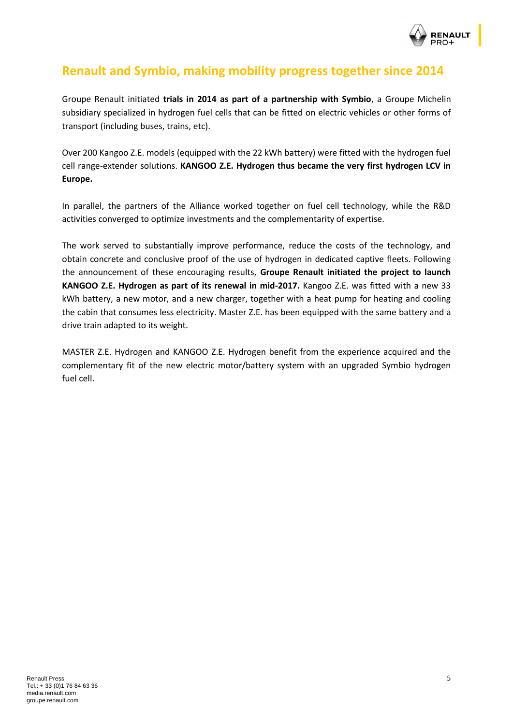

## <span id="page-4-0"></span>**Renault and Symbio, making mobility progress together since 2014**

Groupe Renault initiated **trials in 2014 as part of a partnership with Symbio**, a Groupe Michelin subsidiary specialized in hydrogen fuel cells that can be fitted on electric vehicles or other forms of transport (including buses, trains, etc).

Over 200 Kangoo Z.E. models (equipped with the 22 kWh battery) were fitted with the hydrogen fuel cell range-extender solutions. **KANGOO Z.E. Hydrogen thus became the very first hydrogen LCV in Europe.**

In parallel, the partners of the Alliance worked together on fuel cell technology, while the R&D activities converged to optimize investments and the complementarity of expertise.

The work served to substantially improve performance, reduce the costs of the technology, and obtain concrete and conclusive proof of the use of hydrogen in dedicated captive fleets. Following the announcement of these encouraging results, **Groupe Renault initiated the project to launch KANGOO Z.E. Hydrogen as part of its renewal in mid-2017.** Kangoo Z.E. was fitted with a new 33 kWh battery, a new motor, and a new charger, together with a heat pump for heating and cooling the cabin that consumes less electricity. Master Z.E. has been equipped with the same battery and a drive train adapted to its weight.

MASTER Z.E. Hydrogen and KANGOO Z.E. Hydrogen benefit from the experience acquired and the complementary fit of the new electric motor/battery system with an upgraded Symbio hydrogen fuel cell.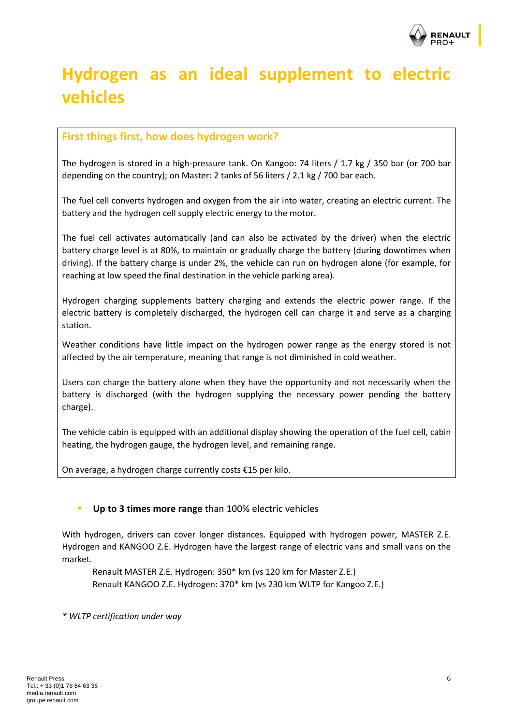

## <span id="page-5-0"></span>**Hydrogen as an ideal supplement to electric vehicles**

#### **First things first, how does hydrogen work?**

The hydrogen is stored in a high-pressure tank. On Kangoo: 74 liters / 1.7 kg / 350 bar (or 700 bar depending on the country); on Master: 2 tanks of 56 liters / 2.1 kg / 700 bar each.

The fuel cell converts hydrogen and oxygen from the air into water, creating an electric current. The battery and the hydrogen cell supply electric energy to the motor.

The fuel cell activates automatically (and can also be activated by the driver) when the electric battery charge level is at 80%, to maintain or gradually charge the battery (during downtimes when driving). If the battery charge is under 2%, the vehicle can run on hydrogen alone (for example, for reaching at low speed the final destination in the vehicle parking area).

Hydrogen charging supplements battery charging and extends the electric power range. If the electric battery is completely discharged, the hydrogen cell can charge it and serve as a charging station.

Weather conditions have little impact on the hydrogen power range as the energy stored is not affected by the air temperature, meaning that range is not diminished in cold weather.

Users can charge the battery alone when they have the opportunity and not necessarily when the battery is discharged (with the hydrogen supplying the necessary power pending the battery charge).

The vehicle cabin is equipped with an additional display showing the operation of the fuel cell, cabin heating, the hydrogen gauge, the hydrogen level, and remaining range.

On average, a hydrogen charge currently costs €15 per kilo.

#### <span id="page-5-1"></span>▪ **Up to 3 times more range** than 100% electric vehicles

With hydrogen, drivers can cover longer distances. Equipped with hydrogen power, MASTER Z.E. Hydrogen and KANGOO Z.E. Hydrogen have the largest range of electric vans and small vans on the market.

Renault MASTER Z.E. Hydrogen: 350\* km (vs 120 km for Master Z.E.) Renault KANGOO Z.E. Hydrogen: 370\* km (vs 230 km WLTP for Kangoo Z.E.)

*\* WLTP certification under way*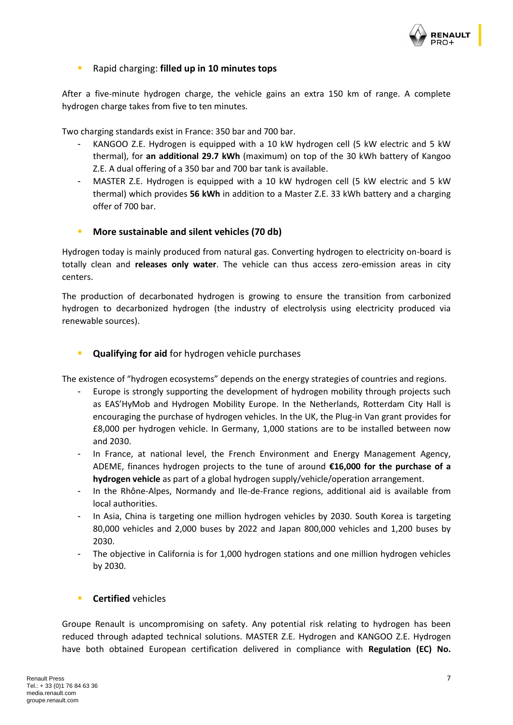

#### <span id="page-6-0"></span>▪ Rapid charging: **filled up in 10 minutes tops**

After a five-minute hydrogen charge, the vehicle gains an extra 150 km of range. A complete hydrogen charge takes from five to ten minutes.

Two charging standards exist in France: 350 bar and 700 bar.

- KANGOO Z.E. Hydrogen is equipped with a 10 kW hydrogen cell (5 kW electric and 5 kW thermal), for **an additional 29.7 kWh** (maximum) on top of the 30 kWh battery of Kangoo Z.E. A dual offering of a 350 bar and 700 bar tank is available.
- MASTER Z.E. Hydrogen is equipped with a 10 kW hydrogen cell (5 kW electric and 5 kW thermal) which provides **56 kWh** in addition to a Master Z.E. 33 kWh battery and a charging offer of 700 bar.

#### <span id="page-6-1"></span>**More sustainable and silent vehicles (70 db)**

Hydrogen today is mainly produced from natural gas. Converting hydrogen to electricity on-board is totally clean and **releases only water**. The vehicle can thus access zero-emission areas in city centers.

The production of decarbonated hydrogen is growing to ensure the transition from carbonized hydrogen to decarbonized hydrogen (the industry of electrolysis using electricity produced via renewable sources).

#### <span id="page-6-2"></span>**Qualifying for aid** for hydrogen vehicle purchases

The existence of "hydrogen ecosystems" depends on the energy strategies of countries and regions.

- Europe is strongly supporting the development of hydrogen mobility through projects such as EAS'HyMob and Hydrogen Mobility Europe. In the Netherlands, Rotterdam City Hall is encouraging the purchase of hydrogen vehicles. In the UK, the Plug-in Van grant provides for £8,000 per hydrogen vehicle. In Germany, 1,000 stations are to be installed between now and 2030.
- In France, at national level, the French Environment and Energy Management Agency, ADEME, finances hydrogen projects to the tune of around **€16,000 for the purchase of a hydrogen vehicle** as part of a global hydrogen supply/vehicle/operation arrangement.
- In the Rhône-Alpes, Normandy and Ile-de-France regions, additional aid is available from local authorities.
- In Asia, China is targeting one million hydrogen vehicles by 2030. South Korea is targeting 80,000 vehicles and 2,000 buses by 2022 and Japan 800,000 vehicles and 1,200 buses by 2030.
- The objective in California is for 1,000 hydrogen stations and one million hydrogen vehicles by 2030.

#### <span id="page-6-3"></span>**E Certified** vehicles

Groupe Renault is uncompromising on safety. Any potential risk relating to hydrogen has been reduced through adapted technical solutions. MASTER Z.E. Hydrogen and KANGOO Z.E. Hydrogen have both obtained European certification delivered in compliance with **Regulation (EC) No.**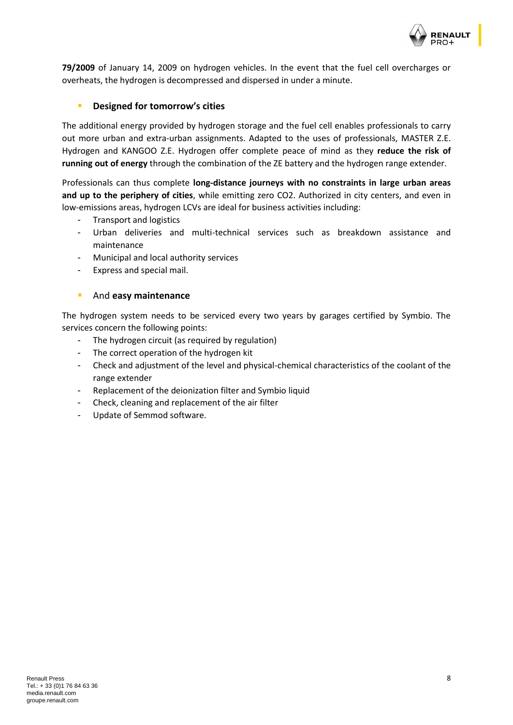

**79/2009** of January 14, 2009 on hydrogen vehicles. In the event that the fuel cell overcharges or overheats, the hydrogen is decompressed and dispersed in under a minute.

#### <span id="page-7-0"></span>▪ **Designed for tomorrow's cities**

The additional energy provided by hydrogen storage and the fuel cell enables professionals to carry out more urban and extra-urban assignments. Adapted to the uses of professionals, MASTER Z.E. Hydrogen and KANGOO Z.E. Hydrogen offer complete peace of mind as they **reduce the risk of running out of energy** through the combination of the ZE battery and the hydrogen range extender.

Professionals can thus complete **long-distance journeys with no constraints in large urban areas and up to the periphery of cities**, while emitting zero CO2. Authorized in city centers, and even in low-emissions areas, hydrogen LCVs are ideal for business activities including:

- Transport and logistics
- Urban deliveries and multi-technical services such as breakdown assistance and maintenance
- Municipal and local authority services
- Express and special mail.

#### <span id="page-7-1"></span>▪ And **easy maintenance**

The hydrogen system needs to be serviced every two years by garages certified by Symbio. The services concern the following points:

- The hydrogen circuit (as required by regulation)
- The correct operation of the hydrogen kit
- Check and adjustment of the level and physical-chemical characteristics of the coolant of the range extender
- Replacement of the deionization filter and Symbio liquid
- Check, cleaning and replacement of the air filter
- Update of Semmod software.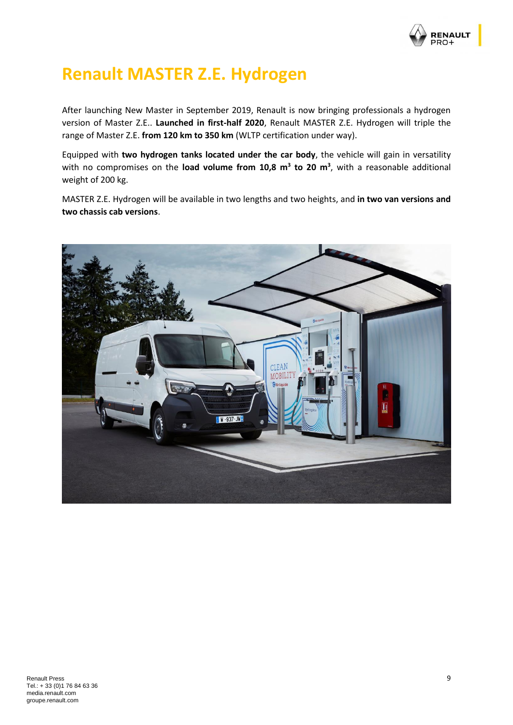

## <span id="page-8-0"></span>**Renault MASTER Z.E. Hydrogen**

After launching New Master in September 2019, Renault is now bringing professionals a hydrogen version of Master Z.E.. **Launched in first-half 2020**, Renault MASTER Z.E. Hydrogen will triple the range of Master Z.E. **from 120 km to 350 km** (WLTP certification under way).

Equipped with **two hydrogen tanks located under the car body**, the vehicle will gain in versatility with no compromises on the **load volume from 10,8 m<sup>3</sup> to 20 m<sup>3</sup>** , with a reasonable additional weight of 200 kg.

MASTER Z.E. Hydrogen will be available in two lengths and two heights, and **in two van versions and two chassis cab versions**.

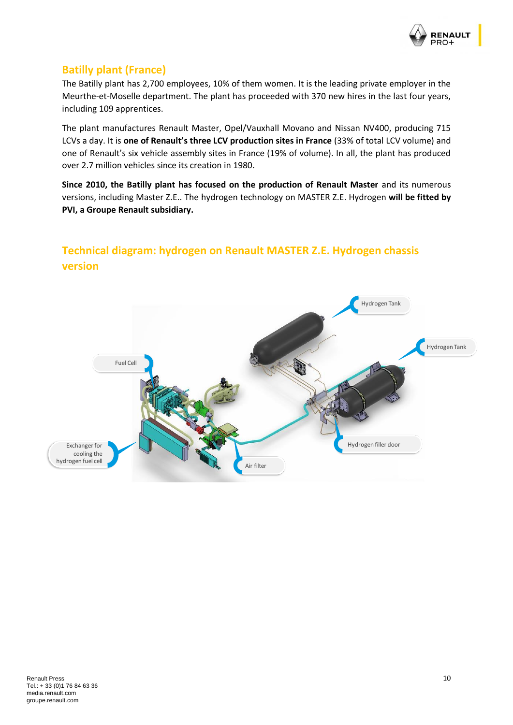

### <span id="page-9-0"></span>**Batilly plant (France)**

The Batilly plant has 2,700 employees, 10% of them women. It is the leading private employer in the Meurthe-et-Moselle department. The plant has proceeded with 370 new hires in the last four years, including 109 apprentices.

The plant manufactures Renault Master, Opel/Vauxhall Movano and Nissan NV400, producing 715 LCVs a day. It is **one of Renault's three LCV production sites in France** (33% of total LCV volume) and one of Renault's six vehicle assembly sites in France (19% of volume). In all, the plant has produced over 2.7 million vehicles since its creation in 1980.

**Since 2010, the Batilly plant has focused on the production of Renault Master** and its numerous versions, including Master Z.E.. The hydrogen technology on MASTER Z.E. Hydrogen **will be fitted by PVI, a Groupe Renault subsidiary.**

## <span id="page-9-1"></span>**Technical diagram: hydrogen on Renault MASTER Z.E. Hydrogen chassis version**

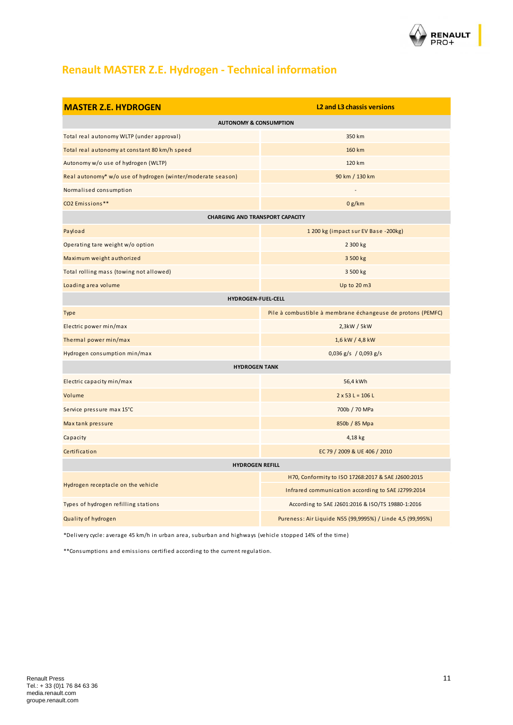

## <span id="page-10-0"></span>**Renault MASTER Z.E. Hydrogen - Technical information**

| <b>MASTER Z.E. HYDROGEN</b>                                 | <b>L2 and L3 chassis versions</b>                           |  |  |
|-------------------------------------------------------------|-------------------------------------------------------------|--|--|
| <b>AUTONOMY &amp; CONSUMPTION</b>                           |                                                             |  |  |
| Total real autonomy WLTP (under approval)                   | 350 km                                                      |  |  |
| Total real autonomy at constant 80 km/h speed               | 160 km                                                      |  |  |
| Autonomy w/o use of hydrogen (WLTP)                         | 120 km                                                      |  |  |
| Real autonomy* w/o use of hydrogen (winter/moderate season) | 90 km / 130 km                                              |  |  |
| Normalised consumption                                      |                                                             |  |  |
| CO2 Emissions**                                             | 0 g/km                                                      |  |  |
| <b>CHARGING AND TRANSPORT CAPACITY</b>                      |                                                             |  |  |
| Payload                                                     | 1 200 kg (impact sur EV Base -200kg)                        |  |  |
| Operating tare weight w/o option                            | 2 300 kg                                                    |  |  |
| Maximum weight authorized                                   | 3 500 kg                                                    |  |  |
| Total rolling mass (towing not allowed)                     | 3 500 kg                                                    |  |  |
| Loading area volume                                         | Up to 20 m3                                                 |  |  |
| HYDROGEN-FUEL-CELL                                          |                                                             |  |  |
| Type                                                        | Pile à combustible à membrane échangeuse de protons (PEMFC) |  |  |
| Electric power min/max                                      | 2,3kW/5kW                                                   |  |  |
| Thermal power min/max                                       | 1,6 kW / 4,8 kW                                             |  |  |
| Hydrogen consumption min/max                                | $0,036$ g/s / 0,093 g/s                                     |  |  |
| <b>HYDROGEN TANK</b>                                        |                                                             |  |  |
| Electric capacity min/max                                   | 56,4 kWh                                                    |  |  |
| Volume                                                      | $2 \times 53$ L = 106 L                                     |  |  |
| Service pressure max 15°C                                   | 700b / 70 MPa                                               |  |  |
| Max tank pressure                                           | 850b / 85 Mpa                                               |  |  |
| Capacity                                                    | 4,18 kg                                                     |  |  |
| Certification                                               | EC 79 / 2009 & UE 406 / 2010                                |  |  |
| <b>HYDROGEN REFILL</b>                                      |                                                             |  |  |
| Hydrogen receptacle on the vehicle                          | H70, Conformity to ISO 17268:2017 & SAE J2600:2015          |  |  |
|                                                             | Infrared communication according to SAE J2799:2014          |  |  |
| Types of hydrogen refilling stations                        | According to SAE J2601:2016 & ISO/TS 19880-1:2016           |  |  |
| Quality of hydrogen                                         | Pureness: Air Liquide N55 (99,9995%) / Linde 4,5 (99,995%)  |  |  |

\*Delivery cycle: average 45 km/h in urban area, suburban and highways (vehicle stopped 14% of the time)

\*\*Consumptions and emissions certified according to the current regulation.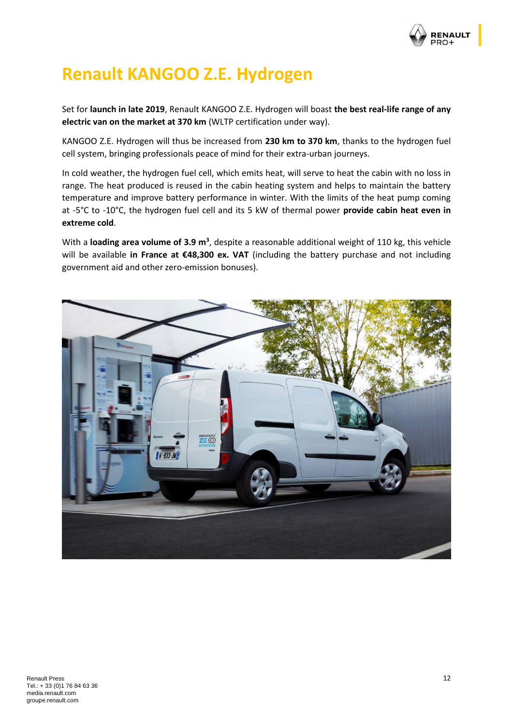

## <span id="page-11-0"></span>**Renault KANGOO Z.E. Hydrogen**

Set for **launch in late 2019**, Renault KANGOO Z.E. Hydrogen will boast **the best real-life range of any electric van on the market at 370 km** (WLTP certification under way).

KANGOO Z.E. Hydrogen will thus be increased from **230 km to 370 km**, thanks to the hydrogen fuel cell system, bringing professionals peace of mind for their extra-urban journeys.

In cold weather, the hydrogen fuel cell, which emits heat, will serve to heat the cabin with no loss in range. The heat produced is reused in the cabin heating system and helps to maintain the battery temperature and improve battery performance in winter. With the limits of the heat pump coming at -5°C to -10°C, the hydrogen fuel cell and its 5 kW of thermal power **provide cabin heat even in extreme cold**.

With a loading area volume of 3.9 m<sup>3</sup>, despite a reasonable additional weight of 110 kg, this vehicle will be available **in France at €48,300 ex. VAT** (including the battery purchase and not including government aid and other zero-emission bonuses).

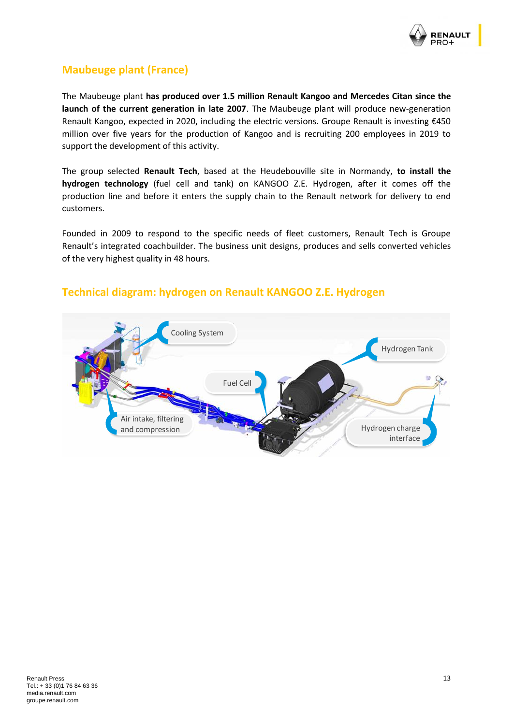

### <span id="page-12-0"></span>**Maubeuge plant (France)**

The Maubeuge plant **has produced over 1.5 million Renault Kangoo and Mercedes Citan since the launch of the current generation in late 2007**. The Maubeuge plant will produce new-generation Renault Kangoo, expected in 2020, including the electric versions. Groupe Renault is investing €450 million over five years for the production of Kangoo and is recruiting 200 employees in 2019 to support the development of this activity.

The group selected **Renault Tech**, based at the Heudebouville site in Normandy, **to install the hydrogen technology** (fuel cell and tank) on KANGOO Z.E. Hydrogen, after it comes off the production line and before it enters the supply chain to the Renault network for delivery to end customers.

Founded in 2009 to respond to the specific needs of fleet customers, Renault Tech is Groupe Renault's integrated coachbuilder. The business unit designs, produces and sells converted vehicles of the very highest quality in 48 hours.



#### <span id="page-12-1"></span>**Technical diagram: hydrogen on Renault KANGOO Z.E. Hydrogen**